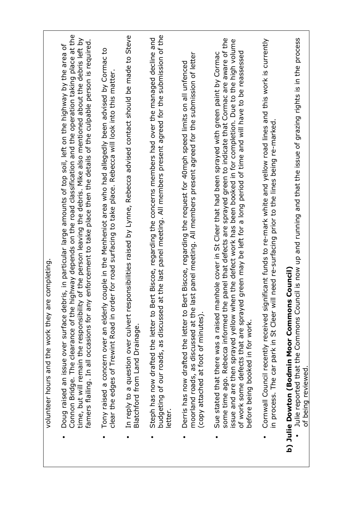| completing<br>volunteer hours and the work they are                                                                                                                                                                                                                                                                                                                                                                                                                                                                   |
|-----------------------------------------------------------------------------------------------------------------------------------------------------------------------------------------------------------------------------------------------------------------------------------------------------------------------------------------------------------------------------------------------------------------------------------------------------------------------------------------------------------------------|
| ighway depends on the road classification and the operation taking place at the<br>of the person leaving the debris. Mike also mentioned about the debris left by<br>enforcement to take place then the details of the culpable person is required.<br>ris, in particular large amounts of top soil, left on the highway by the area of<br>Doug raised an issue over surface deb<br>Connon Bridge. The clearance of the h<br>time, but will remain the responsibility<br>famers flailing. In all occasions for any    |
| couple in the Menheniot area who had allegedly been advised by Cormac to<br>er for road surfacing to take place. Rebecca will look into this matter.<br>clear the edges of Trewint Road in ord<br>Tony raised a concern over an elderly                                                                                                                                                                                                                                                                               |
| In reply to a question over culvert responsibilities raised by Lynne, Rebecca advised contact should be made to Steve<br>Blatchford from Land Drainage.                                                                                                                                                                                                                                                                                                                                                               |
| budgeting of our roads, as discussed at the last panel meeting. All members present agreed for the submission of the<br>Steph has now drafted the letter to Bert Biscoe, regarding the concerns members had over the managed decline and<br>letter.                                                                                                                                                                                                                                                                   |
| moorland roads, as discussed at the last panel meeting. All members present agreed for the submission of letter<br>Derris has now drafted the letter to Bert Biscoe, regarding the request for 40mph speed limits on all unfenced<br>(copy attached at foot of minutes).                                                                                                                                                                                                                                              |
| panel that defects are sprayed green to indicate that Cormac are aware of the<br>issue and are then sprayed yellow when the defect work has been booked in for completion. Due to the high volume<br>of work some defects that are sprayed green may be left for a long period of time and will have to be reassessed<br>nhole cover in St Cleer that had been sprayed with green paint by Cormac<br>Sue stated that there was a raised ma<br>some time ago. Rebecca informed the<br>before being booked in for work. |
| Cornwall Council recently received significant funds to re-mark white and yellow road lines and this work is currently<br>II need re-surfacing prior to the lines being re-marked.<br>in process. The car park in St Cleer wi                                                                                                                                                                                                                                                                                         |
| ncil is now up and running and that the issue of grazing rights is in the process<br>b) Julie Dowton (Bodmin Moor Commons Council)<br>Julie reported that the Commons Cou<br>of being reviewed.                                                                                                                                                                                                                                                                                                                       |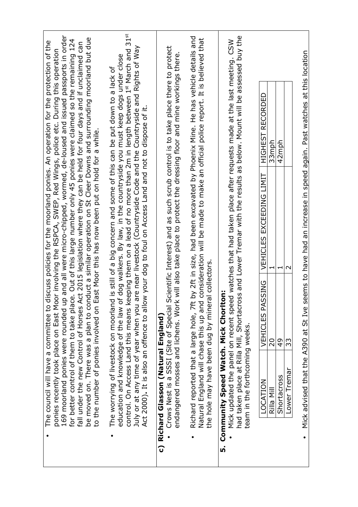| Mick advised that the A390 at St Ive seems to have had an increase in speed again. Past watches at this location<br><b>RECORDED</b><br>HIGHEST<br>42mph<br>33mph                                                                                                                                                                                                                                                                                                                                                                                                                                                                                                                                                             | VEHICLES EXCEEDING LIMIT<br>$\sim$<br>$\mathbf{\mathbf{\mathbf{\mathsf{H}}}}$                       | VEHICLES PASSING<br>20<br>$\frac{9}{4}$<br>33    | team in the forthcoming weeks.<br>Lower Tremar<br>Shortacross<br>LOCATION<br>Rilla Mill |
|------------------------------------------------------------------------------------------------------------------------------------------------------------------------------------------------------------------------------------------------------------------------------------------------------------------------------------------------------------------------------------------------------------------------------------------------------------------------------------------------------------------------------------------------------------------------------------------------------------------------------------------------------------------------------------------------------------------------------|-----------------------------------------------------------------------------------------------------|--------------------------------------------------|-----------------------------------------------------------------------------------------|
| by 2ft in size, had been excavated by Phoenix Mine. He has vehicle details and<br>consideration will be made to make an official police report. It is believed that                                                                                                                                                                                                                                                                                                                                                                                                                                                                                                                                                          |                                                                                                     | the hole may have been dug by mineral collectors | Richard reported that a large hole, 7ft<br>Natural England will chase this up and       |
| Crows Nest is a SSSI (Site of Special Scientific Interest) and as such scrub control is to take place there to protect<br>will also take place to protect the dressing floor and mine workings there.                                                                                                                                                                                                                                                                                                                                                                                                                                                                                                                        |                                                                                                     |                                                  | endangered mosses and lichens. Work<br>Richard Glasson (Natural England)<br>င           |
| control. On Access Land this means keeping them on a lead of no more than 2m in length between 1st March and 31st<br>July or at any time of year when you are near livestock (Countryside Code and the Countryside and Rights of Way<br>education and knowledge of the law of dog walkers. By law, in the countryside you must keep dogs under close<br>The worrying of livestock on moorland is still of a big concern and some of this can be put down to a lack of                                                                                                                                                                                                                                                        | Act 2000). It is also an offence to allow your dog to foul on Access Land and not to dispose of it. |                                                  |                                                                                         |
| 169 moorland ponies were rounded up and all were micro-chipped, wormed, de-loused and issued passports in order<br>be moved on. There was a plan to conduct a similar operation on St Cleer Downs and surrounding moorland but due<br>for better control of them to take place. Out of this large number only 45 ponies were claimed so the remaining 124<br>The council will have a committee to discuss policies for the moorland ponies. An operation for the protection of the<br>fall under the new Control of Horses Act 2015 legislation where they can be held for four days and if unclaimed can<br>ponies recently took place on East Moor involving the RSPCA, SWEP, Red Wings, police etc. During this operation | ast Moor this has now been put on hold for a while.                                                 |                                                  | to the number of ponies involved on E                                                   |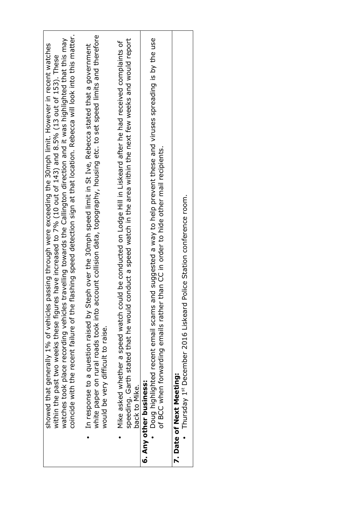| flashing speed detection sign at that location. Rebecca will look into this matter.<br>watches took place recording vehicles travelling towards the Callington direction and it was highlighted that this may<br>showed that generally 1% of vehicles passing through were exceeding the 30mph limit. However in recent watches<br>within the past two weeks these figures have increased to 7% (10 out of 143) and 8.5% (13 out of 153). These<br>coincide with the recent failure of the |
|--------------------------------------------------------------------------------------------------------------------------------------------------------------------------------------------------------------------------------------------------------------------------------------------------------------------------------------------------------------------------------------------------------------------------------------------------------------------------------------------|
| ccount collision data, topography, housing etc. to set speed limits and therefore<br>eph over the 30mph speed limit in St Ive, Rebecca stated that a government<br>In response to a question raised by St<br>white paper on rural roads took into a<br>would be very difficult to raise.                                                                                                                                                                                                   |
| speeding. Garth stated that he would conduct a speed watch in the area within the next few weeks and would report<br>Mike asked whether a speed watch could be conducted on Lodge Hill in Liskeard after he had received complaints of<br>back to Mike.                                                                                                                                                                                                                                    |
| and suggested a way to help prevent these and viruses spreading is by the use<br>of BCC when forwarding emails rather than CC in order to hide other mail recipients.<br>Doug highlighted recent email scams<br>6. Any other business:                                                                                                                                                                                                                                                     |
| Police Station conference room.<br>Thursday 1st December 2016 Liskeard<br>7. Date of Next Meeting:                                                                                                                                                                                                                                                                                                                                                                                         |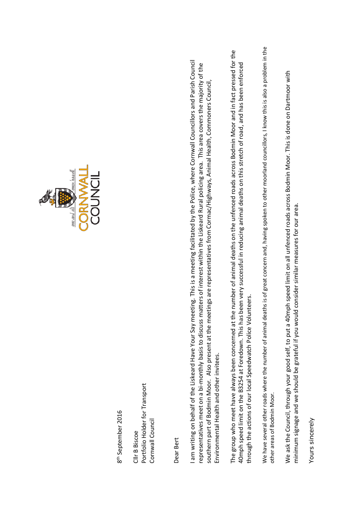

8<sup>th</sup> September 2016 8th September 2016

Portfolio Holder for Transport Portfolio Holder for Transport Cornwall Council Cornwall Council Cllr B Biscoe Cllr B Biscoe

Dear Bert

I am writing on behalf of the Liskeard Have Your Say meeting. This is a meeting facilitated by the Police, where Cornwall Councillors and Parish Council I am writing on behalf of the Liskeard Have Your Say meeting. This is a meeting facilitated by the Police, where Cornwall Councillors and Parish Council representatives meet on a bi-monthly basis to discuss matters of interest within the Liskeard Rural policing area. This area covers the majority of the representatives meet on a bi-monthly basis to discuss matters of interest within the Liskeard Rural policing area. This area covers the majority of the southern part of Bodmin Moor. Also present at the meetings are representatives from Cormac/Highways, Animal Health, Commoners Council, southern part of Bodmin Moor. Also present at the meetings are representatives from Cormac/Highways, Animal Health, Commoners Council, Environmental Health and other invitees. Environmental Health and other invitees.

The group who meet have always been concerned at the number of animal deaths on the unfenced roads across Bodmin Moor and in fact pressed for the The group who meet have always been concerned at the number of animal deaths on the unfenced roads across Bodmin Moor and in fact pressed for the 40mph speed limit on the B3254 at Foredown. This has been very successful in reducing animal deaths on this stretch of road, and has been enforced 40mph speed limit on the B3254 at Foredown. This has been very successful in reducing animal deaths on this stretch of road, and has been enforced through the actions of our local Speedwatch Police Volunteers. through the actions of our local Speedwatch Police Volunteers.

We have several other roads where the number of animal deaths is of great concern and, having spoken to other moorland councillors, I know this is also a problem in the We have several other roads where the number of animal deaths is of great concern and, having spoken to other moorland councillors, I know this is also a problem in the other areas of Bodmin Moor. other areas of Bodmin Moor.

We ask the Council, through your good self, to put a 40mph speed limit on all unfenced roads across Bodmin Moor. This is done on Dartmoor with We ask the Council, through your good self, to put a 40mph speed limit on all unfenced roads across Bodmin Moor. This is done on Dartmoor with minimum signage and we should be grateful if you would consider similar measures for our area. minimum signage and we should be grateful if you would consider similar measures for our area.

Yours sincerely Yours sincerely